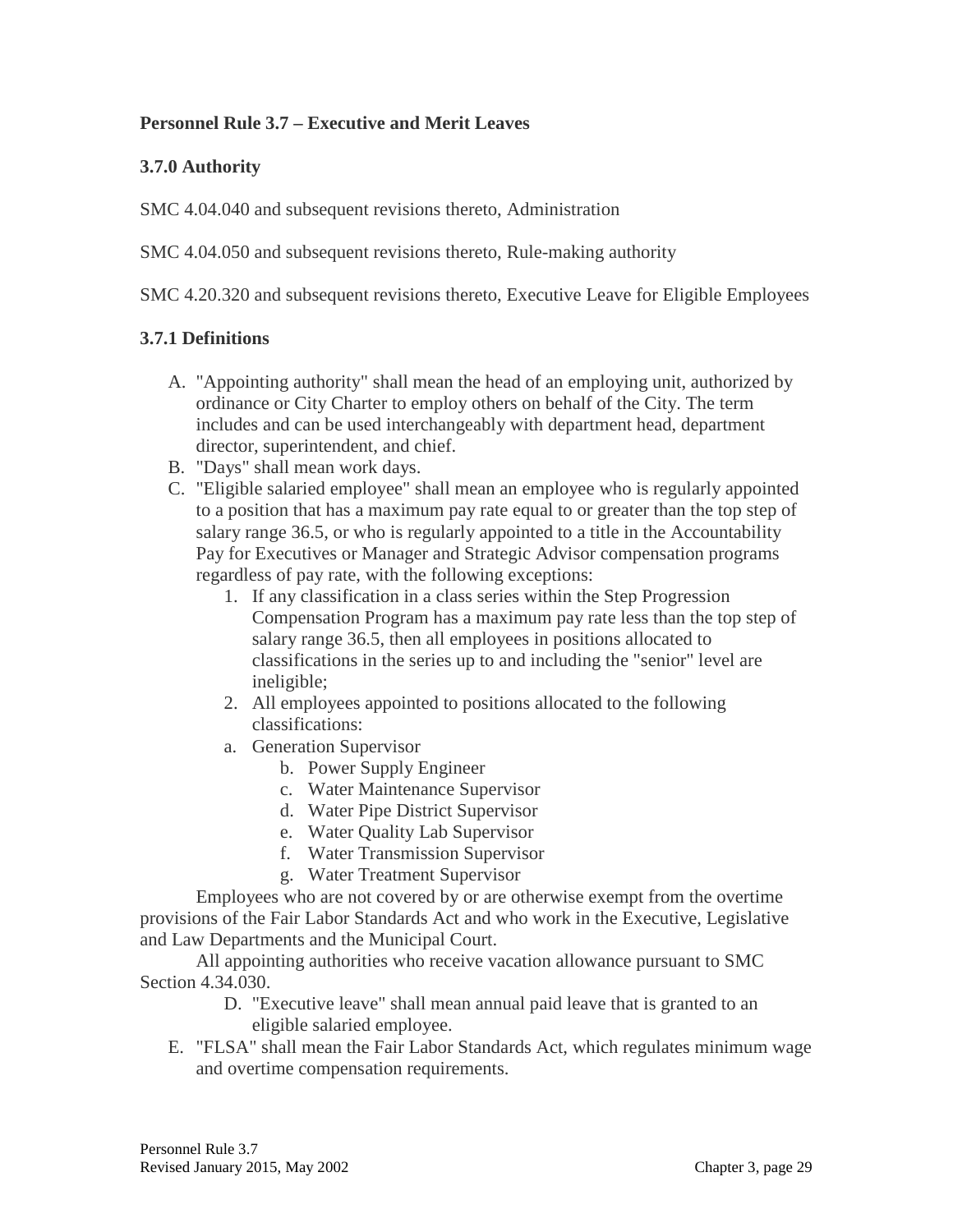#### **Personnel Rule 3.7 – Executive and Merit Leaves**

#### **3.7.0 Authority**

SMC 4.04.040 and subsequent revisions thereto, Administration

SMC 4.04.050 and subsequent revisions thereto, Rule-making authority

SMC 4.20.320 and subsequent revisions thereto, Executive Leave for Eligible Employees

#### **3.7.1 Definitions**

- A. "Appointing authority" shall mean the head of an employing unit, authorized by ordinance or City Charter to employ others on behalf of the City. The term includes and can be used interchangeably with department head, department director, superintendent, and chief.
- B. "Days" shall mean work days.
- C. "Eligible salaried employee" shall mean an employee who is regularly appointed to a position that has a maximum pay rate equal to or greater than the top step of salary range 36.5, or who is regularly appointed to a title in the Accountability Pay for Executives or Manager and Strategic Advisor compensation programs regardless of pay rate, with the following exceptions:
	- 1. If any classification in a class series within the Step Progression Compensation Program has a maximum pay rate less than the top step of salary range 36.5, then all employees in positions allocated to classifications in the series up to and including the "senior" level are ineligible;
	- 2. All employees appointed to positions allocated to the following classifications:
	- a. Generation Supervisor
		- b. Power Supply Engineer
		- c. Water Maintenance Supervisor
		- d. Water Pipe District Supervisor
		- e. Water Quality Lab Supervisor
		- f. Water Transmission Supervisor
		- g. Water Treatment Supervisor

Employees who are not covered by or are otherwise exempt from the overtime provisions of the Fair Labor Standards Act and who work in the Executive, Legislative and Law Departments and the Municipal Court.

All appointing authorities who receive vacation allowance pursuant to SMC Section 4.34.030.

- D. "Executive leave" shall mean annual paid leave that is granted to an eligible salaried employee.
- E. "FLSA" shall mean the Fair Labor Standards Act, which regulates minimum wage and overtime compensation requirements.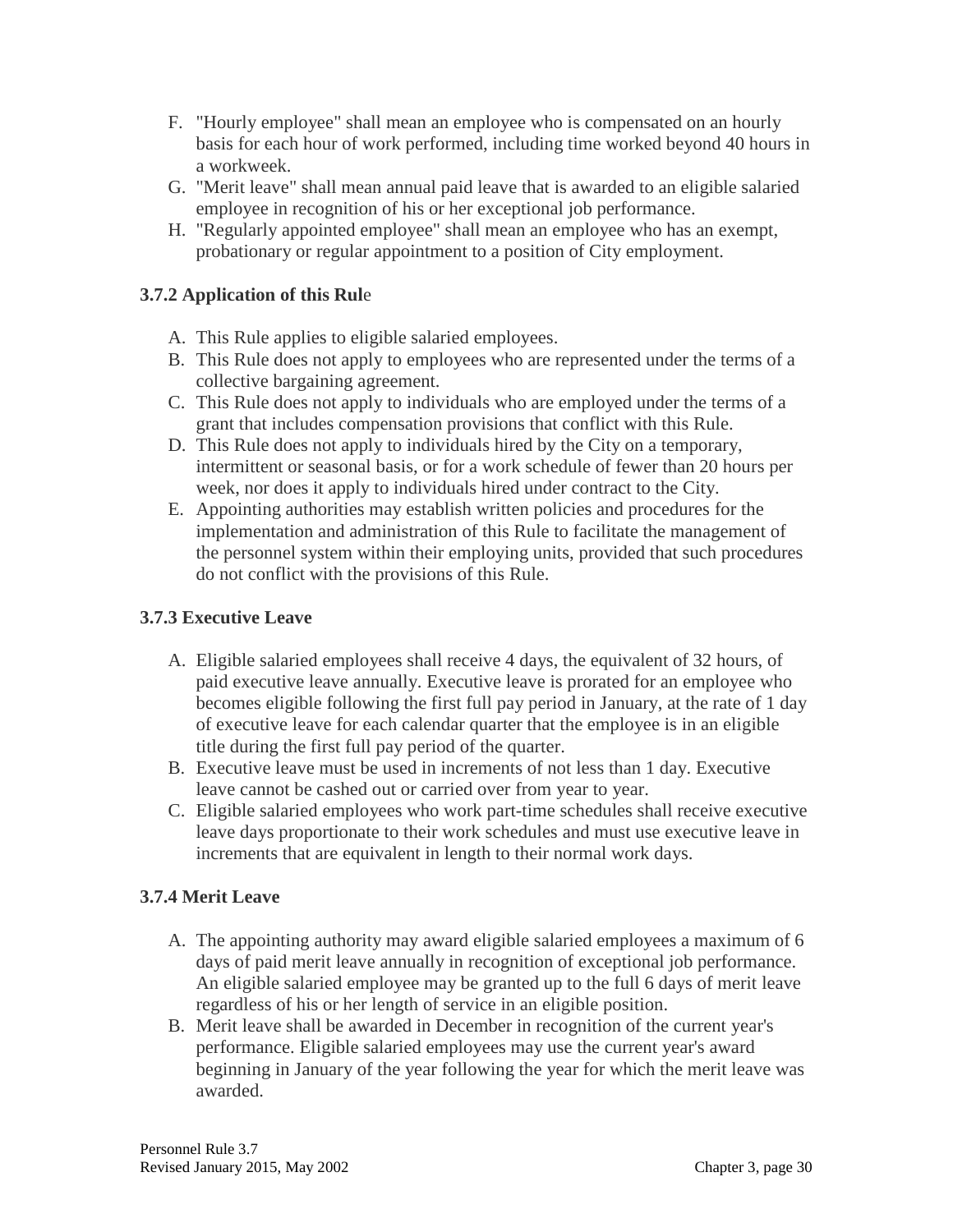- F. "Hourly employee" shall mean an employee who is compensated on an hourly basis for each hour of work performed, including time worked beyond 40 hours in a workweek.
- G. "Merit leave" shall mean annual paid leave that is awarded to an eligible salaried employee in recognition of his or her exceptional job performance.
- H. "Regularly appointed employee" shall mean an employee who has an exempt, probationary or regular appointment to a position of City employment.

# **3.7.2 Application of this Rul**e

- A. This Rule applies to eligible salaried employees.
- B. This Rule does not apply to employees who are represented under the terms of a collective bargaining agreement.
- C. This Rule does not apply to individuals who are employed under the terms of a grant that includes compensation provisions that conflict with this Rule.
- D. This Rule does not apply to individuals hired by the City on a temporary, intermittent or seasonal basis, or for a work schedule of fewer than 20 hours per week, nor does it apply to individuals hired under contract to the City.
- E. Appointing authorities may establish written policies and procedures for the implementation and administration of this Rule to facilitate the management of the personnel system within their employing units, provided that such procedures do not conflict with the provisions of this Rule.

# **3.7.3 Executive Leave**

- A. Eligible salaried employees shall receive 4 days, the equivalent of 32 hours, of paid executive leave annually. Executive leave is prorated for an employee who becomes eligible following the first full pay period in January, at the rate of 1 day of executive leave for each calendar quarter that the employee is in an eligible title during the first full pay period of the quarter.
- B. Executive leave must be used in increments of not less than 1 day. Executive leave cannot be cashed out or carried over from year to year.
- C. Eligible salaried employees who work part-time schedules shall receive executive leave days proportionate to their work schedules and must use executive leave in increments that are equivalent in length to their normal work days.

## **3.7.4 Merit Leave**

- A. The appointing authority may award eligible salaried employees a maximum of 6 days of paid merit leave annually in recognition of exceptional job performance. An eligible salaried employee may be granted up to the full 6 days of merit leave regardless of his or her length of service in an eligible position.
- B. Merit leave shall be awarded in December in recognition of the current year's performance. Eligible salaried employees may use the current year's award beginning in January of the year following the year for which the merit leave was awarded.